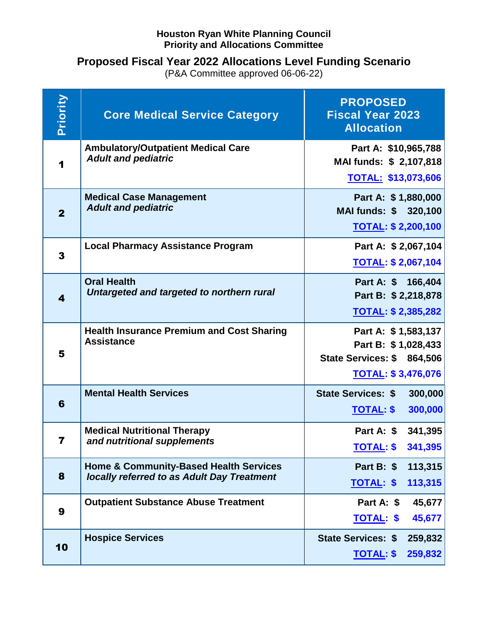## **Houston Ryan White Planning Council Priority and Allocations Committee**

## **Proposed Fiscal Year 2022 Allocations Level Funding Scenario**

(P&A Committee approved 06-06-22)

| Priority                | <b>Core Medical Service Category</b>                                                            | <b>PROPOSED</b><br><b>Fiscal Year 2023</b><br><b>Allocation</b>                                        |
|-------------------------|-------------------------------------------------------------------------------------------------|--------------------------------------------------------------------------------------------------------|
| 1                       | <b>Ambulatory/Outpatient Medical Care</b><br><b>Adult and pediatric</b>                         | Part A: \$10,965,788<br>MAI funds: \$ 2,107,818<br>TOTAL: \$13,073,606                                 |
| $\overline{2}$          | <b>Medical Case Management</b><br><b>Adult and pediatric</b>                                    | Part A: \$1,880,000<br>MAI funds: \$ 320,100<br><b>TOTAL: \$2,200,100</b>                              |
| $\mathbf{3}$            | <b>Local Pharmacy Assistance Program</b>                                                        | Part A: \$2,067,104<br><b>TOTAL: \$2,067,104</b>                                                       |
| $\overline{\mathbf{4}}$ | <b>Oral Health</b><br>Untargeted and targeted to northern rural                                 | Part A: \$ 166,404<br>Part B: \$2,218,878<br><b>TOTAL: \$2,385,282</b>                                 |
| 5                       | <b>Health Insurance Premium and Cost Sharing</b><br><b>Assistance</b>                           | Part A: \$ 1,583,137<br>Part B: \$1,028,433<br>State Services: \$ 864,506<br><b>TOTAL: \$3,476,076</b> |
| 6                       | <b>Mental Health Services</b>                                                                   | <b>State Services: \$</b><br>300,000<br>300,000<br><u>TOTAL: \$</u>                                    |
| $\overline{\mathbf{7}}$ | <b>Medical Nutritional Therapy</b><br>and nutritional supplements                               | Part A: \$<br>341,395<br><b>TOTAL: \$</b><br>341,395                                                   |
| 8                       | <b>Home &amp; Community-Based Health Services</b><br>locally referred to as Adult Day Treatment | Part B: \$<br>113,315<br>TOTAL: \$<br>113,315                                                          |
| $\boldsymbol{9}$        | <b>Outpatient Substance Abuse Treatment</b>                                                     | Part A: \$<br>45,677<br>45,677<br>TOTAL: \$                                                            |
| 10                      | <b>Hospice Services</b>                                                                         | <b>State Services: \$</b><br>259,832<br>259,832<br><u>TOTAL: \$</u>                                    |